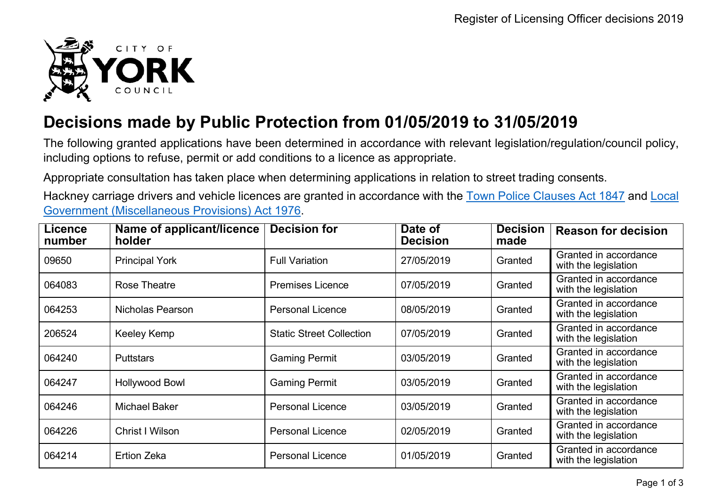

## **Decisions made by Public Protection from 01/05/2019 to 31/05/2019**

The following granted applications have been determined in accordance with relevant legislation/regulation/council policy, including options to refuse, permit or add conditions to a licence as appropriate.

Appropriate consultation has taken place when determining applications in relation to street trading consents.

Hackney carriage drivers and vehicle licences are granted in accordance with the Town Police [Clauses](http://www.legislation.gov.uk/ukpga/Vict/10-11/89) Act 1847 and [Local](http://www.legislation.gov.uk/ukpga/1976/57) [Government \(Miscellaneous Provisions\) Act 1976.](http://www.legislation.gov.uk/ukpga/1976/57)

| <b>Licence</b><br>number | Name of applicant/licence<br>holder | <b>Decision for</b>             | Date of<br><b>Decision</b> | <b>Decision</b><br>made | <b>Reason for decision</b>                    |
|--------------------------|-------------------------------------|---------------------------------|----------------------------|-------------------------|-----------------------------------------------|
| 09650                    | <b>Principal York</b>               | <b>Full Variation</b>           | 27/05/2019                 | Granted                 | Granted in accordance<br>with the legislation |
| 064083                   | Rose Theatre                        | <b>Premises Licence</b>         | 07/05/2019                 | Granted                 | Granted in accordance<br>with the legislation |
| 064253                   | Nicholas Pearson                    | <b>Personal Licence</b>         | 08/05/2019                 | Granted                 | Granted in accordance<br>with the legislation |
| 206524                   | <b>Keeley Kemp</b>                  | <b>Static Street Collection</b> | 07/05/2019                 | Granted                 | Granted in accordance<br>with the legislation |
| 064240                   | <b>Puttstars</b>                    | <b>Gaming Permit</b>            | 03/05/2019                 | Granted                 | Granted in accordance<br>with the legislation |
| 064247                   | <b>Hollywood Bowl</b>               | <b>Gaming Permit</b>            | 03/05/2019                 | Granted                 | Granted in accordance<br>with the legislation |
| 064246                   | <b>Michael Baker</b>                | <b>Personal Licence</b>         | 03/05/2019                 | Granted                 | Granted in accordance<br>with the legislation |
| 064226                   | Christ I Wilson                     | <b>Personal Licence</b>         | 02/05/2019                 | Granted                 | Granted in accordance<br>with the legislation |
| 064214                   | <b>Ertion Zeka</b>                  | <b>Personal Licence</b>         | 01/05/2019                 | Granted                 | Granted in accordance<br>with the legislation |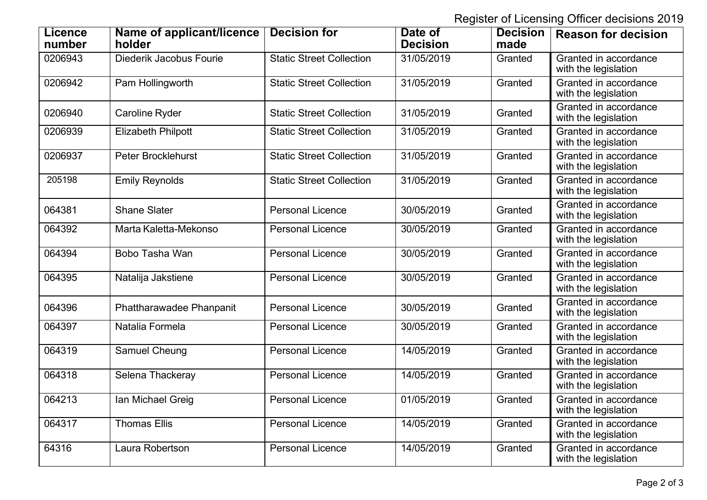Register of Licensing Officer decisions 2019

| <b>Licence</b><br>number | Name of applicant/licence<br>holder | <b>Decision for</b>             | Date of<br><b>Decision</b> | <b>Decision</b><br>made | <b>Reason for decision</b>                    |
|--------------------------|-------------------------------------|---------------------------------|----------------------------|-------------------------|-----------------------------------------------|
| 0206943                  | Diederik Jacobus Fourie             | <b>Static Street Collection</b> | 31/05/2019                 | Granted                 | Granted in accordance<br>with the legislation |
| 0206942                  | Pam Hollingworth                    | <b>Static Street Collection</b> | 31/05/2019                 | Granted                 | Granted in accordance<br>with the legislation |
| 0206940                  | Caroline Ryder                      | <b>Static Street Collection</b> | 31/05/2019                 | Granted                 | Granted in accordance<br>with the legislation |
| 0206939                  | <b>Elizabeth Philpott</b>           | <b>Static Street Collection</b> | 31/05/2019                 | Granted                 | Granted in accordance<br>with the legislation |
| 0206937                  | <b>Peter Brocklehurst</b>           | <b>Static Street Collection</b> | 31/05/2019                 | Granted                 | Granted in accordance<br>with the legislation |
| 205198                   | <b>Emily Reynolds</b>               | <b>Static Street Collection</b> | 31/05/2019                 | Granted                 | Granted in accordance<br>with the legislation |
| 064381                   | <b>Shane Slater</b>                 | <b>Personal Licence</b>         | 30/05/2019                 | Granted                 | Granted in accordance<br>with the legislation |
| 064392                   | Marta Kaletta-Mekonso               | <b>Personal Licence</b>         | 30/05/2019                 | Granted                 | Granted in accordance<br>with the legislation |
| 064394                   | Bobo Tasha Wan                      | <b>Personal Licence</b>         | 30/05/2019                 | Granted                 | Granted in accordance<br>with the legislation |
| 064395                   | Natalija Jakstiene                  | <b>Personal Licence</b>         | 30/05/2019                 | Granted                 | Granted in accordance<br>with the legislation |
| 064396                   | Phattharawadee Phanpanit            | <b>Personal Licence</b>         | 30/05/2019                 | Granted                 | Granted in accordance<br>with the legislation |
| 064397                   | Natalia Formela                     | <b>Personal Licence</b>         | 30/05/2019                 | Granted                 | Granted in accordance<br>with the legislation |
| 064319                   | Samuel Cheung                       | <b>Personal Licence</b>         | 14/05/2019                 | Granted                 | Granted in accordance<br>with the legislation |
| 064318                   | Selena Thackeray                    | <b>Personal Licence</b>         | 14/05/2019                 | Granted                 | Granted in accordance<br>with the legislation |
| 064213                   | Ian Michael Greig                   | <b>Personal Licence</b>         | 01/05/2019                 | Granted                 | Granted in accordance<br>with the legislation |
| 064317                   | <b>Thomas Ellis</b>                 | <b>Personal Licence</b>         | 14/05/2019                 | Granted                 | Granted in accordance<br>with the legislation |
| 64316                    | Laura Robertson                     | <b>Personal Licence</b>         | 14/05/2019                 | Granted                 | Granted in accordance<br>with the legislation |